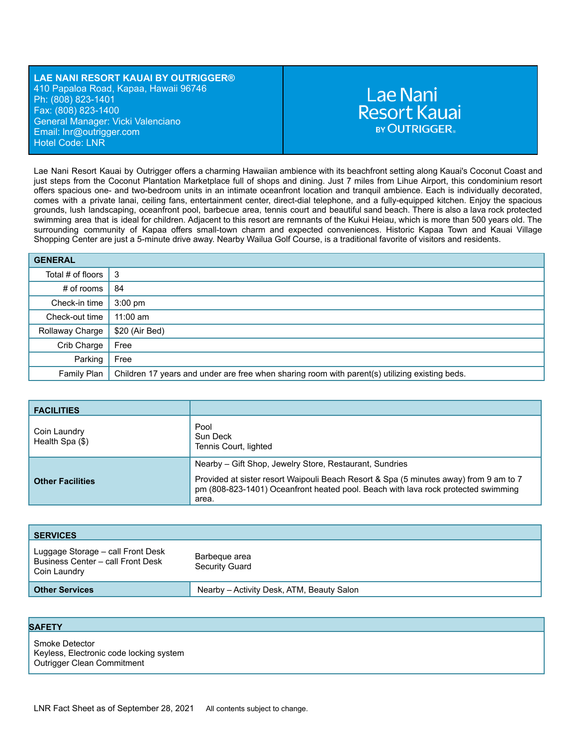## **LAE NANI RESORT KAUAI BY OUTRIGGER®** 410 Papaloa Road, Kapaa, Hawaii 96746 Ph: (808) 823-1401 Fax: (808) 823-1400 General Manager: Vicki Valenciano Email: lnr[@outrigger.com](mailto:orf@outrigger.com) Hotel Code: LNR

# **Lae Nani Resort Kauai BY OUTRIGGER.**

Lae Nani Resort Kauai by Outrigger offers a charming Hawaiian ambience with its beachfront setting along Kauai's Coconut Coast and just steps from the Coconut Plantation Marketplace full of shops and dining. Just 7 miles from Lihue Airport, this condominium resort offers spacious one- and two-bedroom units in an intimate oceanfront location and tranquil ambience. Each is individually decorated, comes with a private lanai, ceiling fans, entertainment center, direct-dial telephone, and a fully-equipped kitchen. Enjoy the spacious grounds, lush landscaping, oceanfront pool, barbecue area, tennis court and beautiful sand beach. There is also a lava rock protected swimming area that is ideal for children. Adjacent to this resort are remnants of the Kukui Heiau, which is more than 500 years old. The surrounding community of Kapaa offers small-town charm and expected conveniences. Historic Kapaa Town and Kauai Village Shopping Center are just a 5-minute drive away. Nearby Wailua Golf Course, is a traditional favorite of visitors and residents.

| <b>GENERAL</b>            |                                                                                                |
|---------------------------|------------------------------------------------------------------------------------------------|
| Total # of floors $\vert$ | l 3                                                                                            |
| $#$ of rooms              | 84                                                                                             |
| Check-in time             | $3:00 \text{ pm}$                                                                              |
| Check-out time            | $11:00$ am                                                                                     |
| Rollaway Charge           | \$20 (Air Bed)                                                                                 |
| Crib Charge               | Free                                                                                           |
| Parking                   | Free                                                                                           |
| Family Plan               | Children 17 years and under are free when sharing room with parent(s) utilizing existing beds. |

| <b>FACILITIES</b>               |                                                                                                                                                                                     |
|---------------------------------|-------------------------------------------------------------------------------------------------------------------------------------------------------------------------------------|
| Coin Laundry<br>Health Spa (\$) | Pool<br>Sun Deck<br>Tennis Court, lighted                                                                                                                                           |
|                                 | Nearby – Gift Shop, Jewelry Store, Restaurant, Sundries                                                                                                                             |
| <b>Other Facilities</b>         | Provided at sister resort Waipouli Beach Resort & Spa (5 minutes away) from 9 am to 7<br>pm (808-823-1401) Oceanfront heated pool. Beach with lava rock protected swimming<br>area. |

| <b>SERVICES</b>                                                                        |                                           |
|----------------------------------------------------------------------------------------|-------------------------------------------|
| Luggage Storage - call Front Desk<br>Business Center - call Front Desk<br>Coin Laundry | Barbeque area<br>Security Guard           |
| <b>Other Services</b>                                                                  | Nearby – Activity Desk, ATM, Beauty Salon |

### **SAFETY**

Smoke Detector Keyless, Electronic code locking system Outrigger Clean Commitment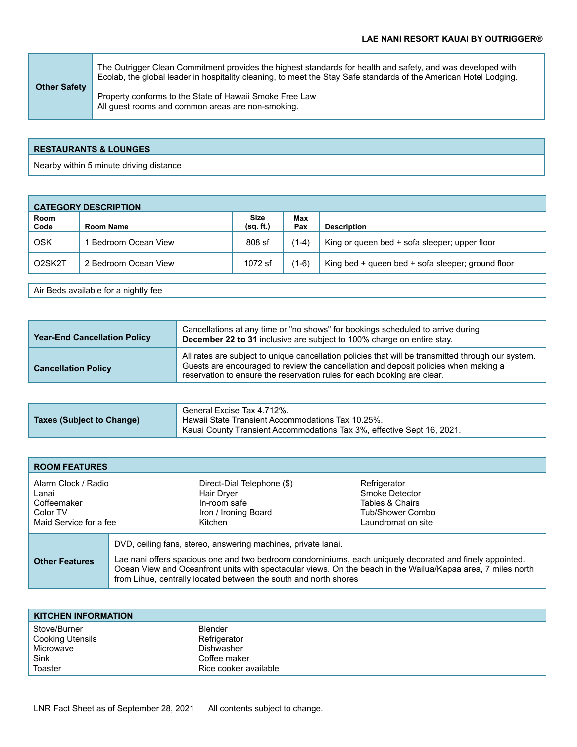**Other Safety** The Outrigger Clean Commitment provides the highest standards for health and safety, and was developed with Ecolab, the global leader in hospitality cleaning, to meet the Stay Safe standards of the American Hotel Lodging. Property conforms to the State of Hawaii Smoke Free Law All guest rooms and common areas are non-smoking.

## **RESTAURANTS & LOUNGES**

Nearby within 5 minute driving distance

| <b>CATEGORY DESCRIPTION</b> |                      |                          |            |                                                   |
|-----------------------------|----------------------|--------------------------|------------|---------------------------------------------------|
| Room<br>Code                | Room Name            | <b>Size</b><br>(sq. ft.) | Max<br>Pax | <b>Description</b>                                |
| OSK                         | Bedroom Ocean View   | 808 sf                   | (1-4)      | King or queen bed + sofa sleeper; upper floor     |
| O2SK2T                      | 2 Bedroom Ocean View | 1072 sf                  | $(1-6)$    | King bed + queen bed + sofa sleeper; ground floor |

Air Beds available for a nightly fee

| <b>Year-End Cancellation Policy</b> | Cancellations at any time or "no shows" for bookings scheduled to arrive during<br>December 22 to 31 inclusive are subject to 100% charge on entire stay.                                                                                                            |
|-------------------------------------|----------------------------------------------------------------------------------------------------------------------------------------------------------------------------------------------------------------------------------------------------------------------|
| <b>Cancellation Policy</b>          | All rates are subject to unique cancellation policies that will be transmitted through our system.<br>Guests are encouraged to review the cancellation and deposit policies when making a<br>reservation to ensure the reservation rules for each booking are clear. |

|                           | General Excise Tax 4.712%.                                               |
|---------------------------|--------------------------------------------------------------------------|
| Taxes (Subject to Change) | Hawaii State Transient Accommodations Tax 10.25%.                        |
|                           | , Kauai County Transient Accommodations Tax 3%, effective Sept 16, 2021. |

| <b>ROOM FEATURES</b>                                                              |                                                                                                                                                                                                                                                                                                                                                               |                                                                                             |
|-----------------------------------------------------------------------------------|---------------------------------------------------------------------------------------------------------------------------------------------------------------------------------------------------------------------------------------------------------------------------------------------------------------------------------------------------------------|---------------------------------------------------------------------------------------------|
| Alarm Clock / Radio<br>Lanai<br>Coffeemaker<br>Color TV<br>Maid Service for a fee | Direct-Dial Telephone (\$)<br>Hair Dryer<br>In-room safe<br>Iron / Ironing Board<br>Kitchen                                                                                                                                                                                                                                                                   | Refrigerator<br>Smoke Detector<br>Tables & Chairs<br>Tub/Shower Combo<br>Laundromat on site |
| <b>Other Features</b>                                                             | DVD, ceiling fans, stereo, answering machines, private lanai.<br>Lae nani offers spacious one and two bedroom condominiums, each uniquely decorated and finely appointed.<br>Ocean View and Oceanfront units with spectacular views. On the beach in the Wailua/Kapaa area, 7 miles north<br>from Lihue, centrally located between the south and north shores |                                                                                             |

| <b>KITCHEN INFORMATION</b> |                       |
|----------------------------|-----------------------|
| Stove/Burner               | <b>Blender</b>        |
| Cooking Utensils           | Refrigerator          |
| Microwave                  | <b>Dishwasher</b>     |
| Sink                       | Coffee maker          |
| Toaster                    | Rice cooker available |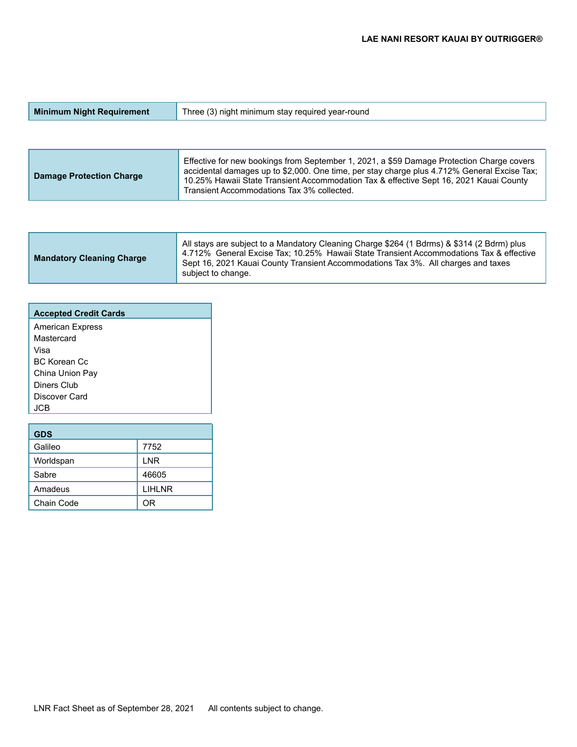| <b>Minimum Night Requirement</b> | Three (3) night minimum stay required year-round |
|----------------------------------|--------------------------------------------------|
|                                  |                                                  |

| <b>Damage Protection Charge</b> | Effective for new bookings from September 1, 2021, a \$59 Damage Protection Charge covers<br>accidental damages up to \$2,000. One time, per stay charge plus 4.712% General Excise Tax;<br>10.25% Hawaii State Transient Accommodation Tax & effective Sept 16, 2021 Kauai County<br>Transient Accommodations Tax 3% collected. |
|---------------------------------|----------------------------------------------------------------------------------------------------------------------------------------------------------------------------------------------------------------------------------------------------------------------------------------------------------------------------------|
|---------------------------------|----------------------------------------------------------------------------------------------------------------------------------------------------------------------------------------------------------------------------------------------------------------------------------------------------------------------------------|

| <b>Accepted Credit Cards</b> |
|------------------------------|
| <b>American Express</b>      |
| Mastercard                   |
| Visa                         |
| BC Korean Cc                 |
| China Union Pay              |
| Diners Club                  |
| Discover Card                |
| .ICB                         |
|                              |

| <b>GDS</b> |               |
|------------|---------------|
| Galileo    | 7752          |
| Worldspan  | <b>LNR</b>    |
| Sabre      | 46605         |
| Amadeus    | <b>LIHLNR</b> |
| Chain Code | ΩR            |